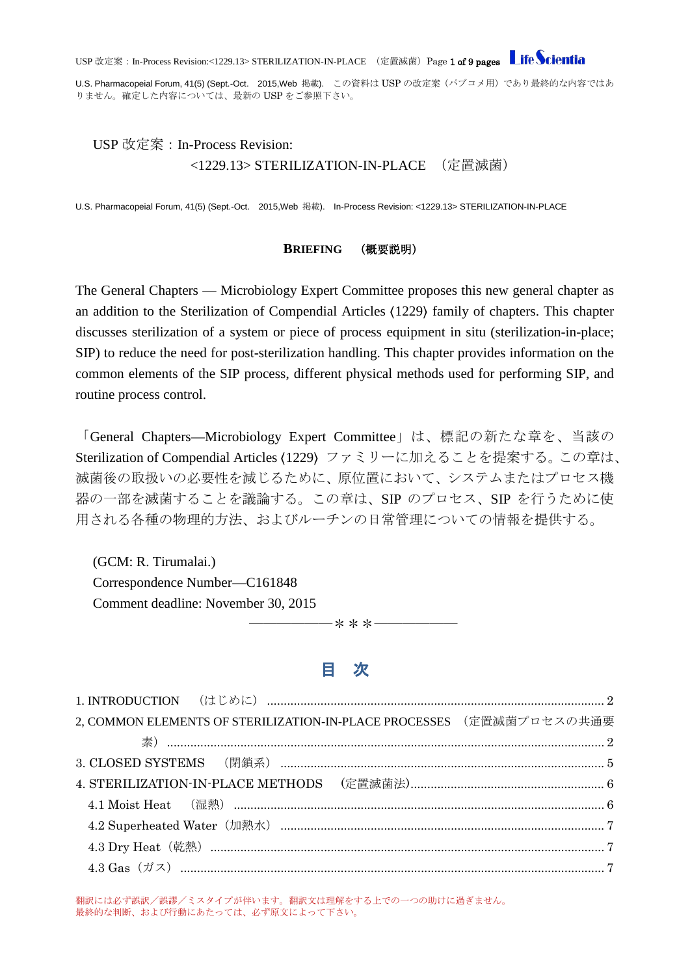USP 改定案: In-Process Revision:<1229.13> STERILIZATION-IN-PLACE (定置滅菌)Page 1 of 9 pages Life Scientia

U.S. Pharmacopeial Forum, 41(5) (Sept.-Oct. 2015, Web 掲載). この資料は USP の改定案 (パブコメ用)であり最終的な内容ではあ りません。確定した内容については、最新の USP をご参照下さい。

# USP 改定案:In-Process Revision: <1229.13> STERILIZATION-IN-PLACE (定置滅菌)

U.S. Pharmacopeial Forum, 41(5) (Sept.-Oct. 2015, Web 掲載). In-Process Revision: <1229.13> STERILIZATION-IN-PLACE

#### **BRIEFING** (概要説明)

The General Chapters — Microbiology Expert Committee proposes this new general chapter as an addition to the Sterilization of Compendial Articles 〈1229〉 family of chapters. This chapter discusses sterilization of a system or piece of process equipment in situ (sterilization-in-place; SIP) to reduce the need for post-sterilization handling. This chapter provides information on the common elements of the SIP process, different physical methods used for performing SIP, and routine process control.

「General Chapters—Microbiology Expert Committee」は、標記の新たな章を、当該の Sterilization of Compendial Articles 〈1229〉 ファミリーに加えることを提案する。この章は、 滅菌後の取扱いの必要性を減じるために、原位置において、システムまたはプロセス機 器の一部を滅菌することを議論する。この章は、SIP のプロセス、SIP を行うために使 用される各種の物理的方法、およびルーチンの日常管理についての情報を提供する。

(GCM: R. Tirumalai.) Correspondence Number—C161848 Comment deadline: November 30, 2015

# 目 次

――――――\*\*\*――――――

|  | 2, COMMON ELEMENTS OF STERILIZATION-IN-PLACE PROCESSES (定置滅菌プロセスの共通要                              |
|--|---------------------------------------------------------------------------------------------------|
|  |                                                                                                   |
|  |                                                                                                   |
|  |                                                                                                   |
|  |                                                                                                   |
|  |                                                                                                   |
|  |                                                                                                   |
|  | $\textbf{4.3 Gas} \hspace{.5mm} (\textit{iii)} \hspace{.5mm} \textbf{7} \hspace{.5mm} \textbf{7}$ |

翻訳には必ず誤訳/誤謬/ミスタイプが伴います。翻訳文は理解をする上での一つの助けに過ぎません。 最終的な判断、および行動にあたっては、必ず原文によって下さい。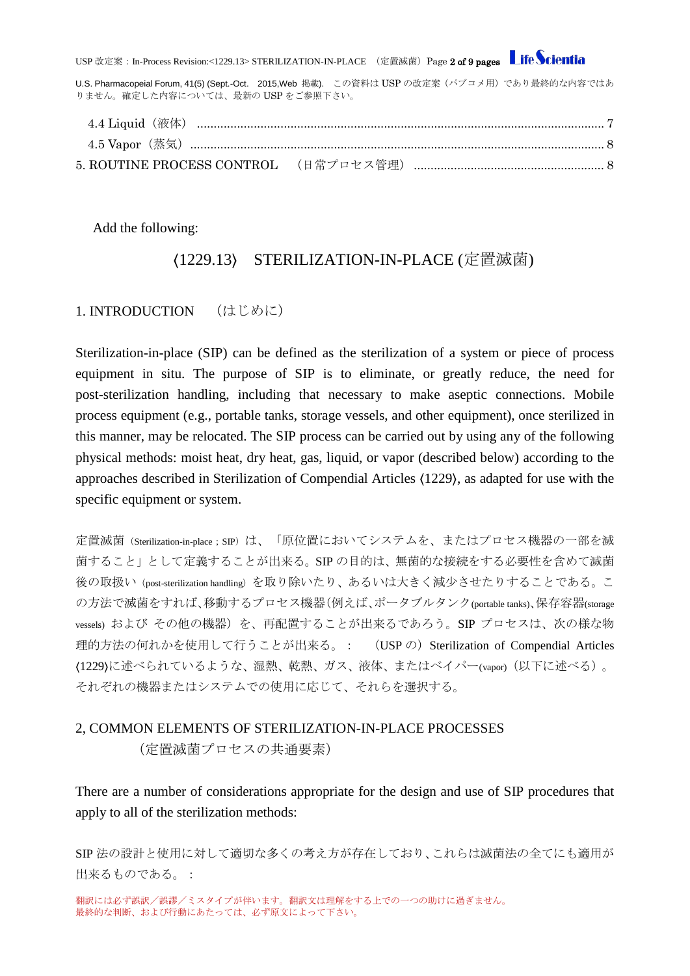USP 改定案: In-Process Revision:<1229.13> STERILIZATION-IN-PLACE (定置滅菌)Page 2 of 9 pages Life Scientia

U.S. Pharmacopeial Forum, 41(5) (Sept.-Oct. 2015, Web 掲載). この資料は USP の改定案 (パブコメ用)であり最終的な内容ではあ りません。確定した内容については、最新の USP をご参照下さい。

Add the following:

# 〈1229.13〉 STERILIZATION-IN-PLACE (定置滅菌)

### <span id="page-1-0"></span>1. INTRODUCTION (はじめに)

Sterilization-in-place (SIP) can be defined as the sterilization of a system or piece of process equipment in situ. The purpose of SIP is to eliminate, or greatly reduce, the need for post-sterilization handling, including that necessary to make aseptic connections. Mobile process equipment (e.g., portable tanks, storage vessels, and other equipment), once sterilized in this manner, may be relocated. The SIP process can be carried out by using any of the following physical methods: moist heat, dry heat, gas, liquid, or vapor (described below) according to the approaches described in Sterilization of Compendial Articles 〈1229〉, as adapted for use with the specific equipment or system.

定置滅菌(Sterilization-in-place;SIP)は、「原位置においてシステムを、またはプロセス機器の一部を滅 菌すること」として定義することが出来る。SIP の目的は、無菌的な接続をする必要性を含めて滅菌 後の取扱い(post-sterilization handling)を取り除いたり、あるいは大きく減少させたりすることである。こ の方法で滅菌をすれば、移動するプロセス機器(例えば、ポータブルタンク(portable tanks)、保存容器(storage vessels) および その他の機器) を、再配置することが出来るであろう。SIP プロセスは、次の様な物 理的方法の何れかを使用して行うことが出来る。: (USP の) Sterilization of Compendial Articles 〈1229〉に述べられているような、湿熱、乾熱、ガス、液体、またはベイパー(vapor)(以下に述べる)。 それぞれの機器またはシステムでの使用に応じて、それらを選択する。

# <span id="page-1-1"></span>2, COMMON ELEMENTS OF STERILIZATION-IN-PLACE PROCESSES

(定置滅菌プロセスの共通要素)

There are a number of considerations appropriate for the design and use of SIP procedures that apply to all of the sterilization methods:

SIP 法の設計と使用に対して適切な多くの考え方が存在しており、これらは滅菌法の全てにも適用が 出来るものである。:

翻訳には必ず誤訳/誤謬/ミスタイプが伴います。翻訳文は理解をする上での一つの助けに過ぎません。 最終的な判断、および行動にあたっては、必ず原文によって下さい。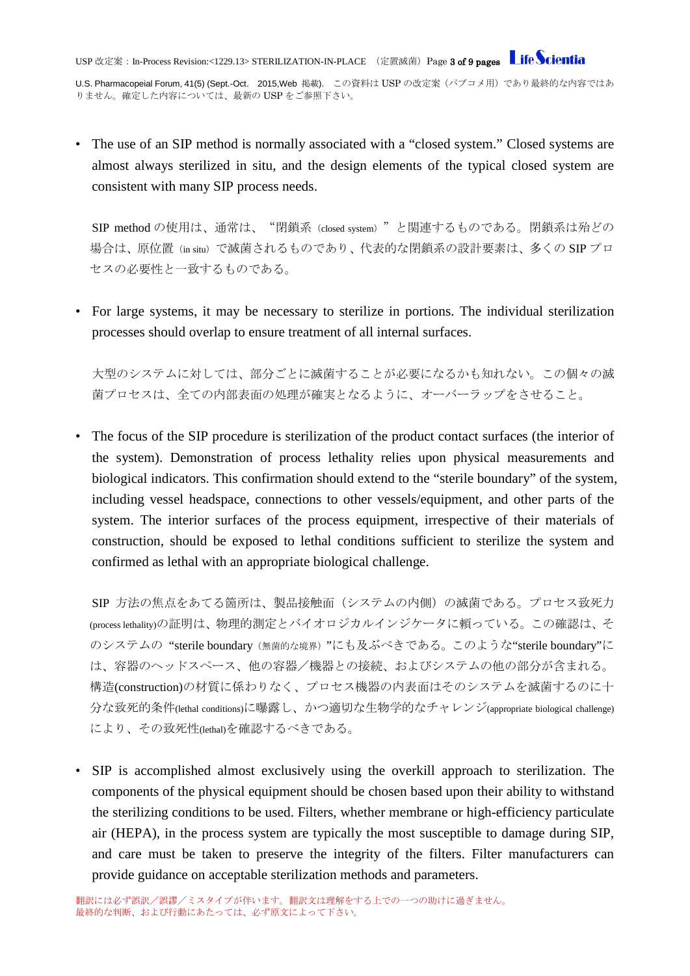USP 改定案: In-Process Revision:<1229.13> STERILIZATION-IN-PLACE (定置滅菌)Page 3 of 9 pages Life Scientia

U.S. Pharmacopeial Forum, 41(5) (Sept.-Oct. 2015, Web 掲載). この資料は USP の改定案 (パブコメ用)であり最終的な内容ではあ りません。確定した内容については、最新の USP をご参照下さい。

• The use of an SIP method is normally associated with a "closed system." Closed systems are almost always sterilized in situ, and the design elements of the typical closed system are consistent with many SIP process needs.

SIP method の使用は、通常は、"閉鎖系 (closed system)"と関連するものである。閉鎖系は殆どの 場合は、原位置(in situ)で滅菌されるものであり、代表的な閉鎖系の設計要素は、多くの SIP プロ セスの必要性と一致するものである。

• For large systems, it may be necessary to sterilize in portions. The individual sterilization processes should overlap to ensure treatment of all internal surfaces.

大型のシステムに対しては、部分ごとに滅菌することが必要になるかも知れない。この個々の滅 菌プロセスは、全ての内部表面の処理が確実となるように、オーバーラップをさせること。

• The focus of the SIP procedure is sterilization of the product contact surfaces (the interior of the system). Demonstration of process lethality relies upon physical measurements and biological indicators. This confirmation should extend to the "sterile boundary" of the system, including vessel headspace, connections to other vessels/equipment, and other parts of the system. The interior surfaces of the process equipment, irrespective of their materials of construction, should be exposed to lethal conditions sufficient to sterilize the system and confirmed as lethal with an appropriate biological challenge.

SIP 方法の焦点をあてる箇所は、製品接触面(システムの内側)の滅菌である。プロセス致死力 (process lethality)の証明は、物理的測定とバイオロジカルインジケータに頼っている。この確認は、そ のシステムの "sterile boundary(無菌的な境界)"にも及ぶべきである。このような"sterile boundary"に は、容器のヘッドスペース、他の容器/機器との接続、およびシステムの他の部分が含まれる。 構造(construction)の材質に係わりなく、プロセス機器の内表面はそのシステムを滅菌するのに十 分な致死的条件(lethal conditions)に曝露し、かつ適切な生物学的なチャレンジ(appropriate biological challenge) により、その致死性(lethal)を確認するべきである。

• SIP is accomplished almost exclusively using the overkill approach to sterilization. The components of the physical equipment should be chosen based upon their ability to withstand the sterilizing conditions to be used. Filters, whether membrane or high-efficiency particulate air (HEPA), in the process system are typically the most susceptible to damage during SIP, and care must be taken to preserve the integrity of the filters. Filter manufacturers can provide guidance on acceptable sterilization methods and parameters.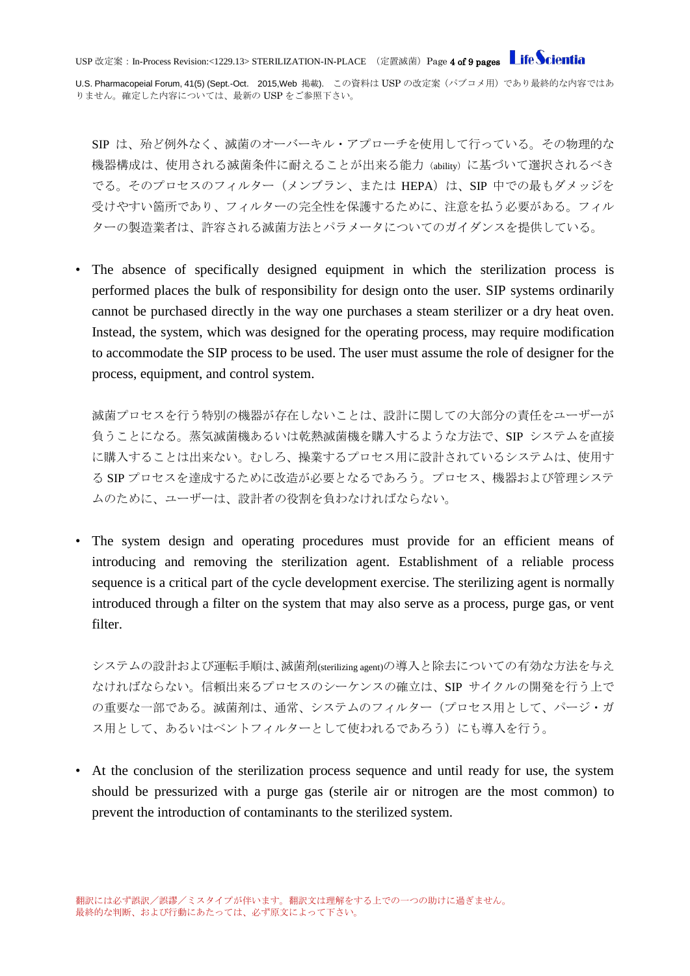USP 改定案: In-Process Revision:<1229.13> STERILIZATION-IN-PLACE (定置滅菌)Page 4 of 9 pages Life Scientia

U.S. Pharmacopeial Forum, 41(5) (Sept.-Oct. 2015, Web 掲載). この資料は USP の改定案 (パブコメ用)であり最終的な内容ではあ りません。確定した内容については、最新の USP をご参照下さい。

SIP は、殆ど例外なく、滅菌のオーバーキル・アプローチを使用して行っている。その物理的な 機器構成は、使用される滅菌条件に耐えることが出来る能力(ability)に基づいて選択されるべき でる。そのプロセスのフィルター(メンブラン、または HEPA)は、SIP 中での最もダメッジを 受けやすい箇所であり、フィルターの完全性を保護するために、注意を払う必要がある。フィル ターの製造業者は、許容される滅菌方法とパラメータについてのガイダンスを提供している。

The absence of specifically designed equipment in which the sterilization process is performed places the bulk of responsibility for design onto the user. SIP systems ordinarily cannot be purchased directly in the way one purchases a steam sterilizer or a dry heat oven. Instead, the system, which was designed for the operating process, may require modification to accommodate the SIP process to be used. The user must assume the role of designer for the process, equipment, and control system.

滅菌プロセスを行う特別の機器が存在しないことは、設計に関しての大部分の責任をユーザーが 負うことになる。蒸気滅菌機あるいは乾熱滅菌機を購入するような方法で、SIP システムを直接 に購入することは出来ない。むしろ、操業するプロセス用に設計されているシステムは、使用す る SIP プロセスを達成するために改造が必要となるであろう。プロセス、機器および管理システ ムのために、ユーザーは、設計者の役割を負わなければならない。

• The system design and operating procedures must provide for an efficient means of introducing and removing the sterilization agent. Establishment of a reliable process sequence is a critical part of the cycle development exercise. The sterilizing agent is normally introduced through a filter on the system that may also serve as a process, purge gas, or vent filter.

システムの設計および運転手順は、滅菌剤(sterilizing agent)の導入と除去についての有効な方法を与え なければならない。信頼出来るプロセスのシーケンスの確立は、SIP サイクルの開発を行う上で の重要な一部である。滅菌剤は、通常、システムのフィルター(プロセス用として、パージ・ガ ス用として、あるいはベントフィルターとして使われるであろう)にも導入を行う。

• At the conclusion of the sterilization process sequence and until ready for use, the system should be pressurized with a purge gas (sterile air or nitrogen are the most common) to prevent the introduction of contaminants to the sterilized system.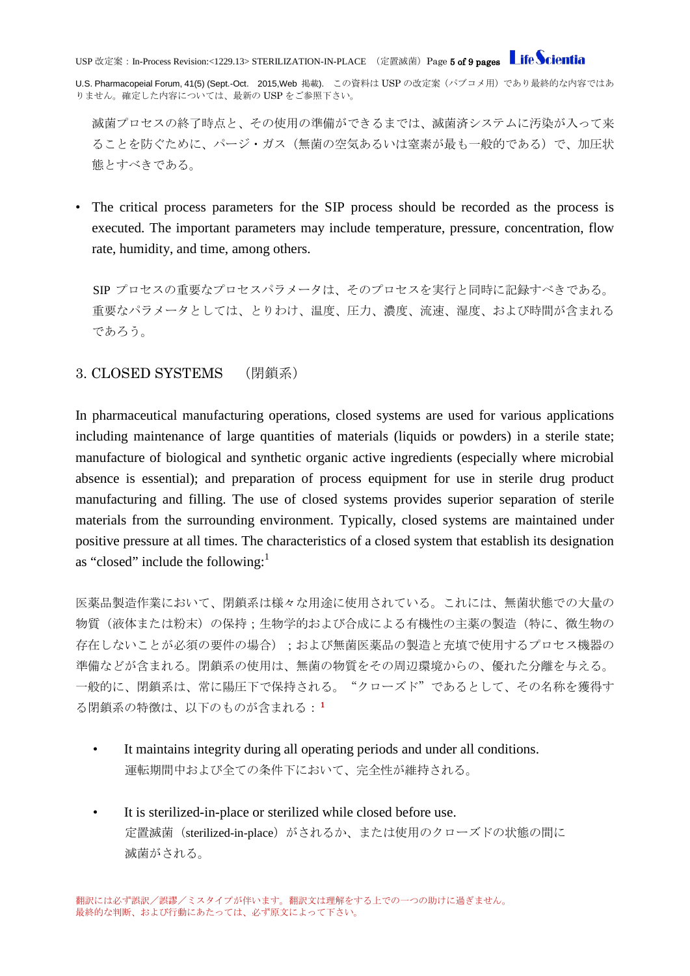USP 改定案: In-Process Revision:<1229.13> STERILIZATION-IN-PLACE (定置滅菌)Page 5 of 9 pages Life Scientia

U.S. Pharmacopeial Forum, 41(5) (Sept.-Oct. 2015, Web 掲載). この資料は USP の改定案 (パブコメ用)であり最終的な内容ではあ りません。確定した内容については、最新の USP をご参照下さい。

滅菌プロセスの終了時点と、その使用の準備ができるまでは、滅菌済システムに汚染が入って来 ることを防ぐために、パージ・ガス(無菌の空気あるいは窒素が最も一般的である)で、加圧状 態とすべきである。

• The critical process parameters for the SIP process should be recorded as the process is executed. The important parameters may include temperature, pressure, concentration, flow rate, humidity, and time, among others.

SIP プロセスの重要なプロセスパラメータは、そのプロセスを実行と同時に記録すべきである。 重要なパラメータとしては、とりわけ、温度、圧力、濃度、流速、湿度、および時間が含まれる であろう。

### <span id="page-4-0"></span>3. CLOSED SYSTEMS (閉鎖系)

In pharmaceutical manufacturing operations, closed systems are used for various applications including maintenance of large quantities of materials (liquids or powders) in a sterile state; manufacture of biological and synthetic organic active ingredients (especially where microbial absence is essential); and preparation of process equipment for use in sterile drug product manufacturing and filling. The use of closed systems provides superior separation of sterile materials from the surrounding environment. Typically, closed systems are maintained under positive pressure at all times. The characteristics of a closed system that establish its designation as "closed" include the following: $<sup>1</sup>$ </sup>

医薬品製造作業において、閉鎖系は様々な用途に使用されている。これには、無菌状態での大量の 物質(液体または粉末)の保持;生物学的および合成による有機性の主薬の製造(特に、微生物の 存在しないことが必須の要件の場合);および無菌医薬品の製造と充填で使用するプロセス機器の 準備などが含まれる。閉鎖系の使用は、無菌の物質をその周辺環境からの、優れた分離を与える。 一般的に、閉鎖系は、常に陽圧下で保持される。"クローズド"であるとして、その名称を獲得す る閉鎖系の特徴は、以下のものが含まれる:1

- It maintains integrity during all operating periods and under all conditions. 運転期間中および全ての条件下において、完全性が維持される。
- It is sterilized-in-place or sterilized while closed before use. 定置滅菌(sterilized-in-place)がされるか、または使用のクローズドの状態の間に 滅菌がされる。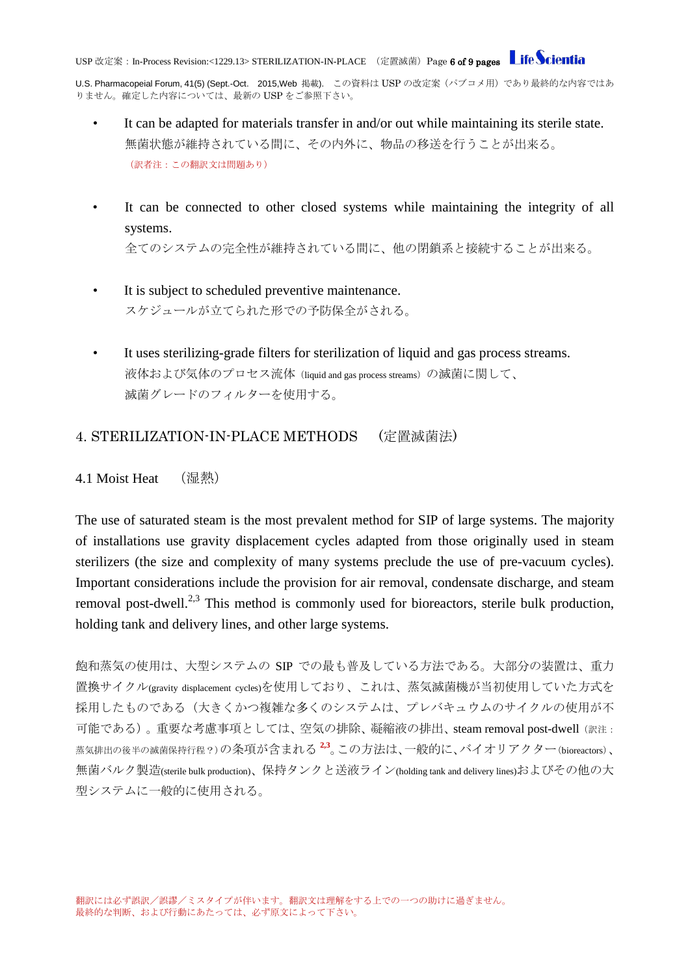U.S. Pharmacopeial Forum, 41(5) (Sept.-Oct. 2015, Web 掲載). この資料は USP の改定案 (パブコメ用)であり最終的な内容ではあ りません。確定した内容については、最新の USP をご参照下さい。

- It can be adapted for materials transfer in and/or out while maintaining its sterile state. 無菌状態が維持されている間に、その内外に、物品の移送を行うことが出来る。 (訳者注:この翻訳文は問題あり)
- It can be connected to other closed systems while maintaining the integrity of all systems. 全てのシステムの完全性が維持されている間に、他の閉鎖系と接続することが出来る。
- It is subject to scheduled preventive maintenance.
	- スケジュールが立てられた形での予防保全がされる。
- It uses sterilizing-grade filters for sterilization of liquid and gas process streams. 液体および気体のプロセス流体(liquid and gas process streams)の滅菌に関して、 滅菌グレードのフィルターを使用する。

### <span id="page-5-0"></span>4. STERILIZATION-IN-PLACE METHODS (定置滅菌法)

<span id="page-5-1"></span>4.1 Moist Heat (湿熱)

The use of saturated steam is the most prevalent method for SIP of large systems. The majority of installations use gravity displacement cycles adapted from those originally used in steam sterilizers (the size and complexity of many systems preclude the use of pre-vacuum cycles). Important considerations include the provision for air removal, condensate discharge, and steam removal post-dwell.<sup>2,3</sup> This method is commonly used for bioreactors, sterile bulk production, holding tank and delivery lines, and other large systems.

飽和蒸気の使用は、大型システムの SIP での最も普及している方法である。大部分の装置は、重力 置換サイクル(gravity displacement cycles)を使用しており、これは、蒸気滅菌機が当初使用していた方式を 採用したものである(大きくかつ複雑な多くのシステムは、プレバキュウムのサイクルの使用が不 可能である)。重要な考慮事項としては、空気の排除、凝縮液の排出、steam removal post-dwell(訳注: 蒸気排出の後半の滅菌保持行程?)の条項が含まれる **2,3**。この方法は、一般的に、バイオリアクター(bioreactors)、 無菌バルク製造(sterile bulk production)、保持タンクと送液ライン(holding tank and delivery lines)およびその他の大 型システムに一般的に使用される。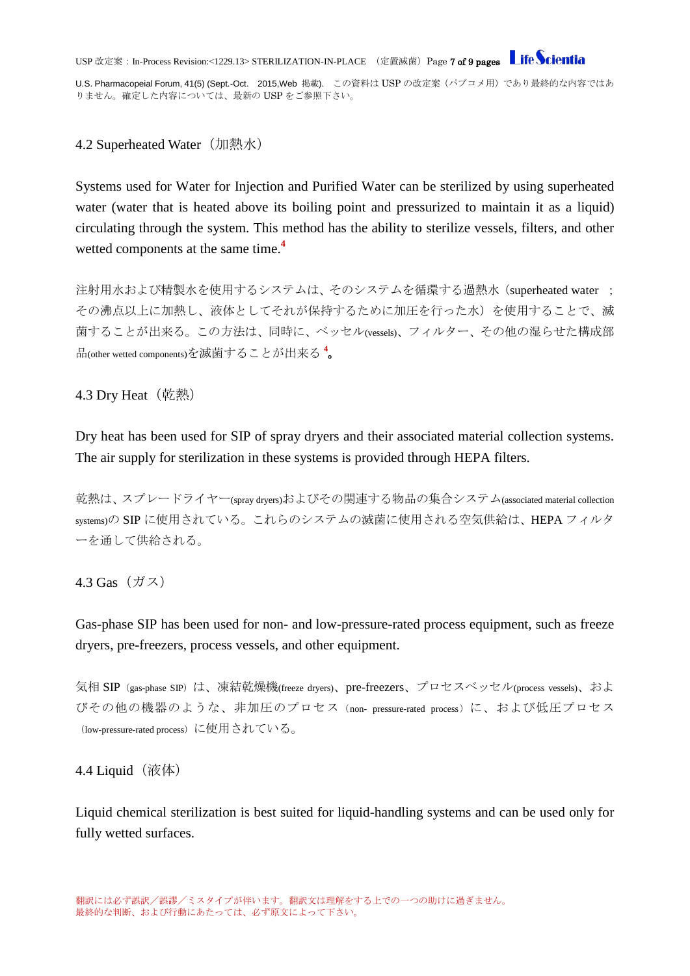USP 改定案: In-Process Revision:<1229.13> STERILIZATION-IN-PLACE (定置滅菌)Page **7 of 9 pages** Life Scientia

U.S. Pharmacopeial Forum, 41(5) (Sept.-Oct. 2015, Web 掲載). この資料は USP の改定案 (パブコメ用)であり最終的な内容ではあ りません。確定した内容については、最新の USP をご参照下さい。

<span id="page-6-0"></span>4.2 Superheated Water (加熱水)

Systems used for Water for Injection and Purified Water can be sterilized by using superheated water (water that is heated above its boiling point and pressurized to maintain it as a liquid) circulating through the system. This method has the ability to sterilize vessels, filters, and other wetted components at the same time.**<sup>4</sup>**

注射用水および精製水を使用するシステムは、そのシステムを循環する過熱水(superheated water ; その沸点以上に加熱し、液体としてそれが保持するために加圧を行った水)を使用することで、滅 菌することが出来る。この方法は、同時に、ベッセル(vessels)、フィルター、その他の湿らせた構成部 品(other wetted components)を滅菌することが出来る **<sup>4</sup>** 。

<span id="page-6-1"></span>4.3 Dry Heat (乾熱)

Dry heat has been used for SIP of spray dryers and their associated material collection systems. The air supply for sterilization in these systems is provided through HEPA filters.

乾熱は、スプレードライヤー(spray dryers)およびその関連する物品の集合システム(associated material collection systems)の SIP に使用されている。これらのシステムの滅菌に使用される空気供給は、HEPA フィルタ ーを通して供給される。

<span id="page-6-2"></span>4.3 Gas(ガス)

Gas-phase SIP has been used for non- and low-pressure-rated process equipment, such as freeze dryers, pre-freezers, process vessels, and other equipment.

気相 SIP (gas-phase SIP) は、凍結乾燥機(freeze dryers)、pre-freezers、プロセスベッセル(process vessels)、およ びその他の機器のような、非加圧のプロセス(non- pressure-rated process)に、および低圧プロセス (low-pressure-rated process)に使用されている。

<span id="page-6-3"></span>4.4 Liquid $(\bar{\mathcal{R}}$ 体)

Liquid chemical sterilization is best suited for liquid-handling systems and can be used only for fully wetted surfaces.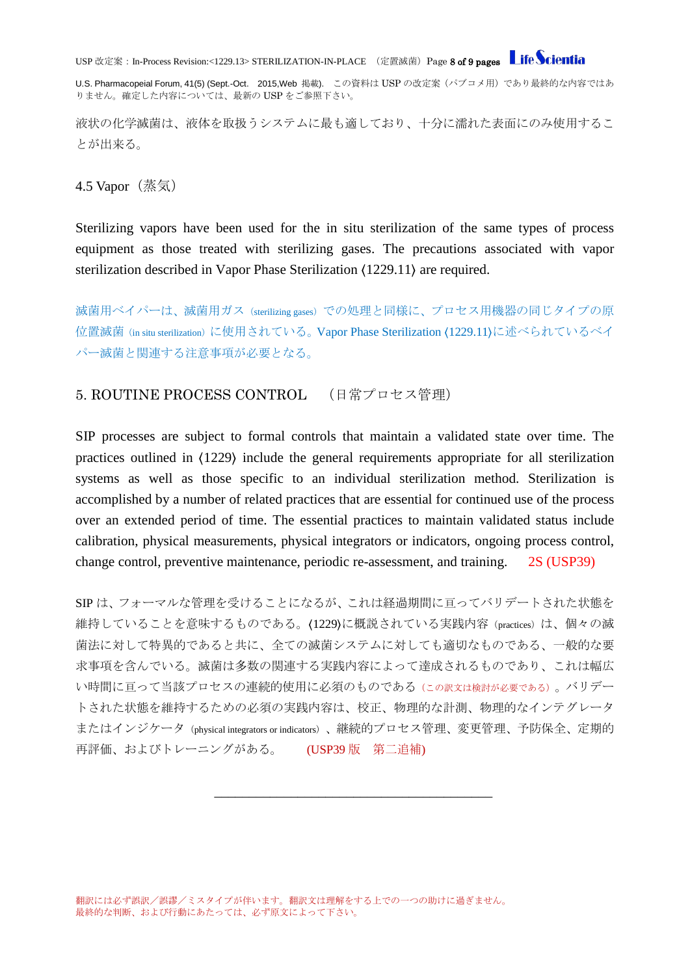USP 改定案: In-Process Revision:<1229.13> STERILIZATION-IN-PLACE (定置滅菌)Page 8 of 9 pages Life Scientia

U.S. Pharmacopeial Forum, 41(5) (Sept.-Oct. 2015, Web 掲載). この資料は USP の改定案 (パブコメ用)であり最終的な内容ではあ りません。確定した内容については、最新の USP をご参照下さい。

液状の化学滅菌は、液体を取扱うシステムに最も適しており、十分に濡れた表面にのみ使用するこ とが出来る。

<span id="page-7-0"></span>4.5 Vapor(蒸気)

Sterilizing vapors have been used for the in situ sterilization of the same types of process equipment as those treated with sterilizing gases. The precautions associated with vapor sterilization described in Vapor Phase Sterilization 〈1229.11〉 are required.

滅菌用ベイパーは、滅菌用ガス(sterilizing gases)での処理と同様に、プロセス用機器の同じタイプの原 位置滅菌(in situ sterilization)に使用されている。Vapor Phase Sterilization (1229.11)に述べられているベイ パー滅菌と関連する注意事項が必要となる。

#### <span id="page-7-1"></span>5. ROUTINE PROCESS CONTROL (日常プロセス管理)

SIP processes are subject to formal controls that maintain a validated state over time. The practices outlined in 〈1229〉 include the general requirements appropriate for all sterilization systems as well as those specific to an individual sterilization method. Sterilization is accomplished by a number of related practices that are essential for continued use of the process over an extended period of time. The essential practices to maintain validated status include calibration, physical measurements, physical integrators or indicators, ongoing process control, change control, preventive maintenance, periodic re-assessment, and training. 2S (USP39)

SIP は、フォーマルな管理を受けることになるが、これは経過期間に亘ってバリデートされた状態を 維持していることを意味するものである。(1229)に概説されている実践内容 (practices) は、個々の滅 菌法に対して特異的であると共に、全ての滅菌システムに対しても適切なものである、一般的な要 求事項を含んでいる。滅菌は多数の関連する実践内容によって達成されるものであり、これは幅広 い時間に亘って当該プロセスの連続的使用に必須のものである(この訳文は検討が必要である)。バリデー トされた状態を維持するための必須の実践内容は、校正、物理的な計測、物理的なインテグレータ またはインジケータ (physical integrators or indicators)、継続的プロセス管理、変更管理、予防保全、定期的 再評価、およびトレーニングがある。 (USP39 版 第二追補)

\_\_\_\_\_\_\_\_\_\_\_\_\_\_\_\_\_\_\_\_\_\_\_\_\_\_\_\_\_\_\_\_\_\_\_\_\_\_\_\_

翻訳には必ず誤訳/誤謬/ミスタイプが伴います。翻訳文は理解をする上での一つの助けに過ぎません。 最終的な判断、および行動にあたっては、必ず原文によって下さい。